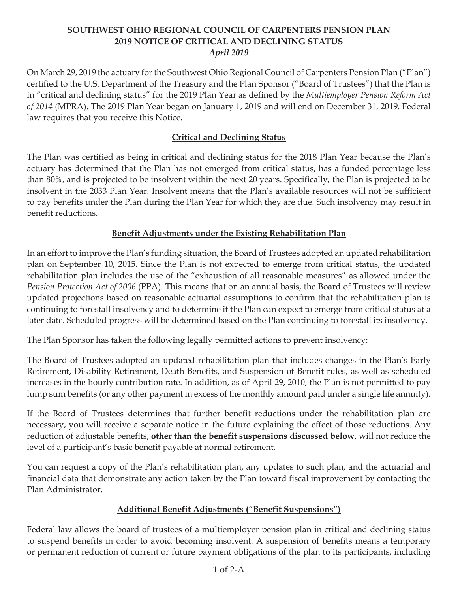## **SOUTHWEST OHIO REGIONAL COUNCIL OF CARPENTERS PENSION PLAN 2019 NOTICE OF CRITICAL AND DECLINING STATUS** *April 2019*

On March 29, 2019 the actuary for the Southwest Ohio Regional Council of Carpenters Pension Plan ("Plan") certified to the U.S. Department of the Treasury and the Plan Sponsor ("Board of Trustees") that the Plan is in "critical and declining status" for the 2019 Plan Year as defined by the *Multiemployer Pension Reform Act of 2014* (MPRA). The 2019 Plan Year began on January 1, 2019 and will end on December 31, 2019. Federal law requires that you receive this Notice.

## **Critical and Declining Status**

The Plan was certified as being in critical and declining status for the 2018 Plan Year because the Plan's actuary has determined that the Plan has not emerged from critical status, has a funded percentage less than 80%, and is projected to be insolvent within the next 20 years. Specifically, the Plan is projected to be insolvent in the 2033 Plan Year. Insolvent means that the Plan's available resources will not be sufficient to pay benefits under the Plan during the Plan Year for which they are due. Such insolvency may result in benefit reductions.

# **Benefit Adjustments under the Existing Rehabilitation Plan**

In an effort to improve the Plan's funding situation, the Board of Trustees adopted an updated rehabilitation plan on September 10, 2015. Since the Plan is not expected to emerge from critical status, the updated rehabilitation plan includes the use of the "exhaustion of all reasonable measures" as allowed under the *Pension Protection Act of 2006* (PPA). This means that on an annual basis, the Board of Trustees will review updated projections based on reasonable actuarial assumptions to confirm that the rehabilitation plan is continuing to forestall insolvency and to determine if the Plan can expect to emerge from critical status at a later date. Scheduled progress will be determined based on the Plan continuing to forestall its insolvency.

The Plan Sponsor has taken the following legally permitted actions to prevent insolvency:

The Board of Trustees adopted an updated rehabilitation plan that includes changes in the Plan's Early Retirement, Disability Retirement, Death Benefits, and Suspension of Benefit rules, as well as scheduled increases in the hourly contribution rate. In addition, as of April 29, 2010, the Plan is not permitted to pay lump sum benefits (or any other payment in excess of the monthly amount paid under a single life annuity).

If the Board of Trustees determines that further benefit reductions under the rehabilitation plan are necessary, you will receive a separate notice in the future explaining the effect of those reductions. Any reduction of adjustable benefits, **other than the benefit suspensions discussed below**, will not reduce the level of a participant's basic benefit payable at normal retirement.

You can request a copy of the Plan's rehabilitation plan, any updates to such plan, and the actuarial and financial data that demonstrate any action taken by the Plan toward fiscal improvement by contacting the Plan Administrator.

## **Additional Benefit Adjustments ("Benefit Suspensions")**

Federal law allows the board of trustees of a multiemployer pension plan in critical and declining status to suspend benefits in order to avoid becoming insolvent. A suspension of benefits means a temporary or permanent reduction of current or future payment obligations of the plan to its participants, including